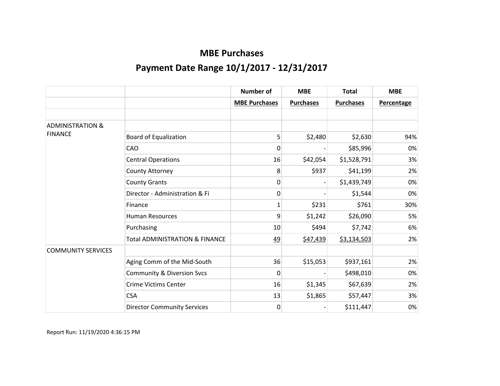|                             |                                           | <b>Number of</b>     | <b>MBE</b>       | <b>Total</b>     | <b>MBE</b>        |
|-----------------------------|-------------------------------------------|----------------------|------------------|------------------|-------------------|
|                             |                                           | <b>MBE Purchases</b> | <b>Purchases</b> | <b>Purchases</b> | <b>Percentage</b> |
|                             |                                           |                      |                  |                  |                   |
| <b>ADMINISTRATION &amp;</b> |                                           |                      |                  |                  |                   |
| <b>FINANCE</b>              | <b>Board of Equalization</b>              | 5                    | \$2,480          | \$2,630          | 94%               |
|                             | CAO                                       | 0                    |                  | \$85,996         | 0%                |
|                             | <b>Central Operations</b>                 | 16                   | \$42,054         | \$1,528,791      | 3%                |
|                             | County Attorney                           | 8                    | \$937            | \$41,199         | 2%                |
|                             | <b>County Grants</b>                      | 0                    |                  | \$1,439,749      | 0%                |
|                             | Director - Administration & Fi            | 0                    |                  | \$1,544          | 0%                |
|                             | Finance                                   | 1                    | \$231            | \$761            | 30%               |
|                             | <b>Human Resources</b>                    | 9                    | \$1,242          | \$26,090         | 5%                |
|                             | Purchasing                                | 10                   | \$494            | \$7,742          | 6%                |
|                             | <b>Total ADMINISTRATION &amp; FINANCE</b> | <u>49</u>            | \$47,439         | \$3,134,503      | 2%                |
| <b>COMMUNITY SERVICES</b>   |                                           |                      |                  |                  |                   |
|                             | Aging Comm of the Mid-South               | 36                   | \$15,053         | \$937,161        | 2%                |
|                             | <b>Community &amp; Diversion Svcs</b>     | 0                    |                  | \$498,010        | 0%                |
|                             | <b>Crime Victims Center</b>               | 16                   | \$1,345          | \$67,639         | 2%                |
|                             | <b>CSA</b>                                | 13                   | \$1,865          | \$57,447         | 3%                |
|                             | <b>Director Community Services</b>        | $\mathbf 0$          |                  | \$111,447        | 0%                |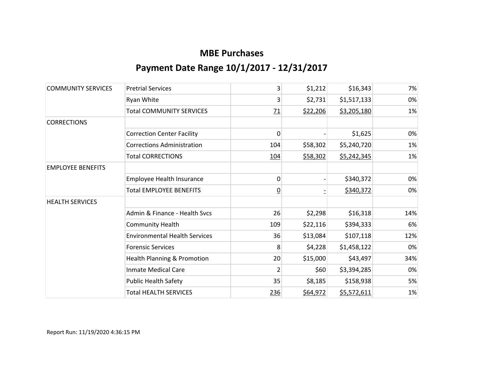| <b>COMMUNITY SERVICES</b> | <b>Pretrial Services</b>             | 3              | \$1,212  | \$16,343    | 7%  |
|---------------------------|--------------------------------------|----------------|----------|-------------|-----|
|                           | Ryan White                           | 3              | \$2,731  | \$1,517,133 | 0%  |
|                           | <b>Total COMMUNITY SERVICES</b>      | 71             | \$22,206 | \$3,205,180 | 1%  |
| <b>CORRECTIONS</b>        |                                      |                |          |             |     |
|                           | <b>Correction Center Facility</b>    | 0              |          | \$1,625     | 0%  |
|                           | <b>Corrections Administration</b>    | 104            | \$58,302 | \$5,240,720 | 1%  |
|                           | <b>Total CORRECTIONS</b>             | 104            | \$58,302 | \$5,242,345 | 1%  |
| <b>EMPLOYEE BENEFITS</b>  |                                      |                |          |             |     |
|                           | Employee Health Insurance            | 0              |          | \$340,372   | 0%  |
|                           | <b>Total EMPLOYEE BENEFITS</b>       | <u>0</u>       |          | \$340,372   | 0%  |
| <b>HEALTH SERVICES</b>    |                                      |                |          |             |     |
|                           | Admin & Finance - Health Svcs        | 26             | \$2,298  | \$16,318    | 14% |
|                           | <b>Community Health</b>              | 109            | \$22,116 | \$394,333   | 6%  |
|                           | <b>Environmental Health Services</b> | 36             | \$13,084 | \$107,118   | 12% |
|                           | <b>Forensic Services</b>             | 8              | \$4,228  | \$1,458,122 | 0%  |
|                           | Health Planning & Promotion          | 20             | \$15,000 | \$43,497    | 34% |
|                           | <b>Inmate Medical Care</b>           | $\overline{2}$ | \$60     | \$3,394,285 | 0%  |
|                           | <b>Public Health Safety</b>          | 35             | \$8,185  | \$158,938   | 5%  |
|                           | <b>Total HEALTH SERVICES</b>         | 236            | \$64,972 | \$5,572,611 | 1%  |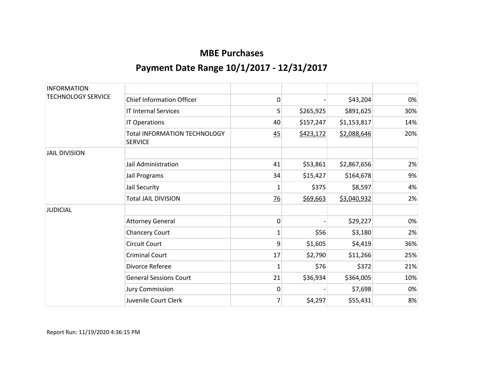| <b>INFORMATION</b>        |                                                       |                |           |             |     |
|---------------------------|-------------------------------------------------------|----------------|-----------|-------------|-----|
| <b>TECHNOLOGY SERVICE</b> | <b>Chief Information Officer</b>                      | 0              |           | \$43,204    | 0%  |
|                           | <b>IT Internal Services</b>                           | 5              | \$265,925 | \$891,625   | 30% |
|                           | IT Operations                                         | 40             | \$157,247 | \$1,153,817 | 14% |
|                           | <b>Total INFORMATION TECHNOLOGY</b><br><b>SERVICE</b> | 45             | \$423,172 | \$2,088,646 | 20% |
| <b>JAIL DIVISION</b>      |                                                       |                |           |             |     |
|                           | Jail Administration                                   | 41             | \$53,861  | \$2,867,656 | 2%  |
|                           | Jail Programs                                         | 34             | \$15,427  | \$164,678   | 9%  |
|                           | Jail Security                                         | 1              | \$375     | \$8,597     | 4%  |
|                           | <b>Total JAIL DIVISION</b>                            | $\frac{76}{2}$ | \$69,663  | \$3,040,932 | 2%  |
| <b>JUDICIAL</b>           |                                                       |                |           |             |     |
|                           | <b>Attorney General</b>                               | 0              |           | \$29,227    | 0%  |
|                           | <b>Chancery Court</b>                                 | 1              | \$56      | \$3,180     | 2%  |
|                           | <b>Circuit Court</b>                                  | 9              | \$1,605   | \$4,419     | 36% |
|                           | <b>Criminal Court</b>                                 | 17             | \$2,790   | \$11,266    | 25% |
|                           | Divorce Referee                                       | 1              | \$76      | \$372       | 21% |
|                           | <b>General Sessions Court</b>                         | 21             | \$36,934  | \$364,005   | 10% |
|                           | <b>Jury Commission</b>                                | 0              |           | \$7,698     | 0%  |
|                           | Juvenile Court Clerk                                  | 7              | \$4,297   | \$55,431    | 8%  |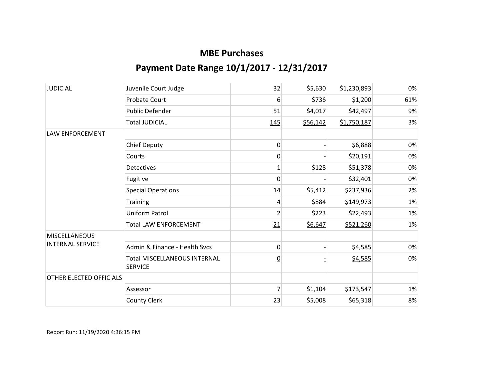| <b>JUDICIAL</b>         | Juvenile Court Judge                                  | 32             | \$5,630  | \$1,230,893 | 0%  |
|-------------------------|-------------------------------------------------------|----------------|----------|-------------|-----|
|                         | Probate Court                                         | 6              | \$736    | \$1,200     | 61% |
|                         | <b>Public Defender</b>                                | 51             | \$4,017  | \$42,497    | 9%  |
|                         | <b>Total JUDICIAL</b>                                 | 145            | \$56,142 | \$1,750,187 | 3%  |
| <b>LAW ENFORCEMENT</b>  |                                                       |                |          |             |     |
|                         | <b>Chief Deputy</b>                                   | 0              |          | \$6,888     | 0%  |
|                         | Courts                                                | 0              |          | \$20,191    | 0%  |
|                         | Detectives                                            | 1              | \$128    | \$51,378    | 0%  |
|                         | Fugitive                                              | 0              |          | \$32,401    | 0%  |
|                         | <b>Special Operations</b>                             | 14             | \$5,412  | \$237,936   | 2%  |
|                         | Training                                              | 4              | \$884    | \$149,973   | 1%  |
|                         | Uniform Patrol                                        | $\overline{2}$ | \$223    | \$22,493    | 1%  |
|                         | <b>Total LAW ENFORCEMENT</b>                          | 21             | \$6,647  | \$521,260   | 1%  |
| <b>MISCELLANEOUS</b>    |                                                       |                |          |             |     |
| <b>INTERNAL SERVICE</b> | Admin & Finance - Health Sycs                         | 0              |          | \$4,585     | 0%  |
|                         | <b>Total MISCELLANEOUS INTERNAL</b><br><b>SERVICE</b> | $\overline{0}$ |          | \$4,585     | 0%  |
| OTHER ELECTED OFFICIALS |                                                       |                |          |             |     |
|                         | Assessor                                              | $\overline{7}$ | \$1,104  | \$173,547   | 1%  |
|                         | <b>County Clerk</b>                                   | 23             | \$5,008  | \$65,318    | 8%  |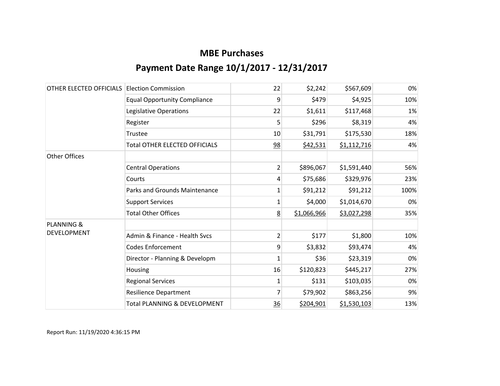| OTHER ELECTED OFFICIALS | <b>Election Commission</b>              | 22             | \$2,242     | \$567,609   | 0%   |
|-------------------------|-----------------------------------------|----------------|-------------|-------------|------|
|                         | <b>Equal Opportunity Compliance</b>     | 9              | \$479       | \$4,925     | 10%  |
|                         | Legislative Operations                  | 22             | \$1,611     | \$117,468   | 1%   |
|                         | Register                                | 5              | \$296       | \$8,319     | 4%   |
|                         | Trustee                                 | 10             | \$31,791    | \$175,530   | 18%  |
|                         | <b>Total OTHER ELECTED OFFICIALS</b>    | 98             | \$42,531    | \$1,112,716 | 4%   |
| <b>Other Offices</b>    |                                         |                |             |             |      |
|                         | <b>Central Operations</b>               | $\overline{2}$ | \$896,067   | \$1,591,440 | 56%  |
|                         | Courts                                  | 4              | \$75,686    | \$329,976   | 23%  |
|                         | <b>Parks and Grounds Maintenance</b>    | 1              | \$91,212    | \$91,212    | 100% |
|                         | <b>Support Services</b>                 | 1              | \$4,000     | \$1,014,670 | 0%   |
|                         | <b>Total Other Offices</b>              | 8              | \$1,066,966 | \$3,027,298 | 35%  |
| <b>PLANNING &amp;</b>   |                                         |                |             |             |      |
| <b>DEVELOPMENT</b>      | Admin & Finance - Health Svcs           | 2              | \$177       | \$1,800     | 10%  |
|                         | <b>Codes Enforcement</b>                | 9              | \$3,832     | \$93,474    | 4%   |
|                         | Director - Planning & Developm          | $\mathbf{1}$   | \$36        | \$23,319    | 0%   |
|                         | Housing                                 | 16             | \$120,823   | \$445,217   | 27%  |
|                         | <b>Regional Services</b>                | $\mathbf 1$    | \$131       | \$103,035   | 0%   |
|                         | <b>Resilience Department</b>            | 7              | \$79,902    | \$863,256   | 9%   |
|                         | <b>Total PLANNING &amp; DEVELOPMENT</b> | 36             | \$204,901   | \$1,530,103 | 13%  |